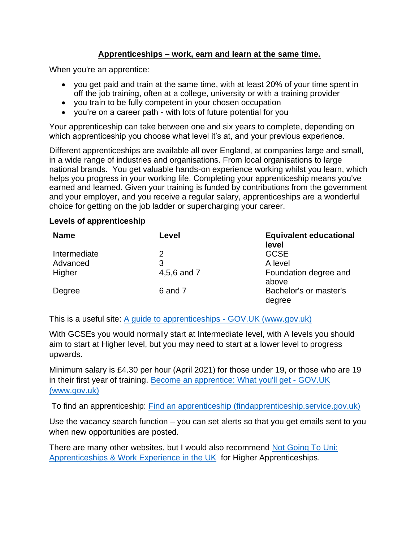## **Apprenticeships – work, earn and learn at the same time.**

When you're an apprentice:

- you get paid and train at the same time, with at least 20% of your time spent in off the job training, often at a college, university or with a training provider
- you train to be fully competent in your chosen occupation
- you're on a career path with lots of future potential for you

Your apprenticeship can take between one and six years to complete, depending on which apprenticeship you choose what level it's at, and your previous experience.

Different apprenticeships are available all over England, at companies large and small, in a wide range of industries and organisations. From local organisations to large national brands. You get valuable hands-on experience working whilst you learn, which helps you progress in your working life. Completing your apprenticeship means you've earned and learned. Given your training is funded by contributions from the government and your employer, and you receive a regular salary, apprenticeships are a wonderful choice for getting on the job ladder or supercharging your career.

## **Levels of apprenticeship**

| <b>Name</b>  | Level       | <b>Equivalent educational</b><br>level |
|--------------|-------------|----------------------------------------|
| Intermediate | 2           | <b>GCSE</b>                            |
| Advanced     | 3           | A level                                |
| Higher       | 4,5,6 and 7 | Foundation degree and<br>above         |
| Degree       | 6 and 7     | Bachelor's or master's<br>degree       |

This is a useful site: [A guide to apprenticeships -](https://www.gov.uk/government/publications/a-guide-to-apprenticeships) GOV.UK (www.gov.uk)

With GCSEs you would normally start at Intermediate level, with A levels you should aim to start at Higher level, but you may need to start at a lower level to progress upwards.

Minimum salary is £4.30 per hour (April 2021) for those under 19, or those who are 19 in their first year of training. [Become an apprentice: What you'll get -](https://www.gov.uk/become-apprentice/pay-and-conditions) GOV.UK [\(www.gov.uk\)](https://www.gov.uk/become-apprentice/pay-and-conditions)

To find an apprenticeship: [Find an apprenticeship \(findapprenticeship.service.gov.uk\)](https://www.findapprenticeship.service.gov.uk/)

Use the vacancy search function – you can set alerts so that you get emails sent to you when new opportunities are posted.

There are many other websites, but I would also recommend Not Going To Uni: [Apprenticeships & Work Experience in the UK](https://www.notgoingtouni.co.uk/) for Higher Apprenticeships.